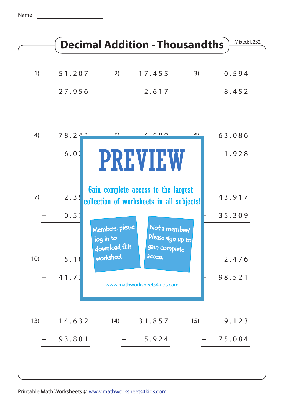Name :